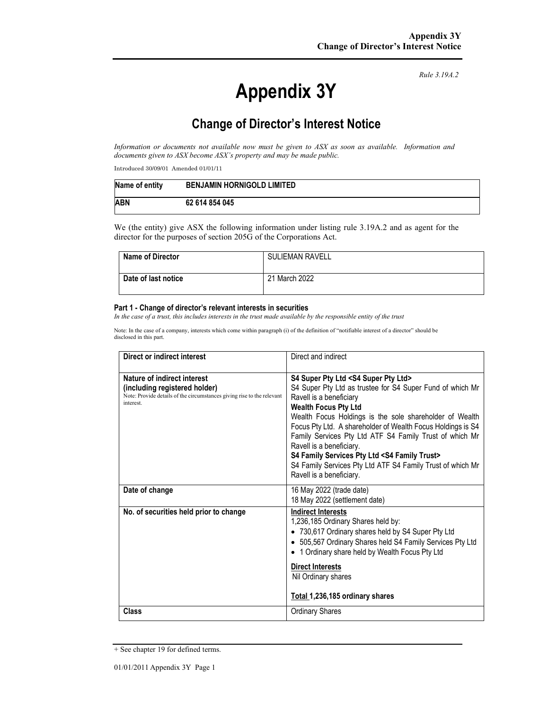# **Appendix 3Y**

*Rule 3.19A.2*

# **Change of Director's Interest Notice**

*Information or documents not available now must be given to ASX as soon as available. Information and documents given to ASX become ASX's property and may be made public.* 

Introduced 30/09/01 Amended 01/01/11

| Name of entity | <b>BENJAMIN HORNIGOLD LIMITED</b> |
|----------------|-----------------------------------|
| <b>ABN</b>     | 62 614 854 045                    |

We (the entity) give ASX the following information under listing rule 3.19A.2 and as agent for the director for the purposes of section 205G of the Corporations Act.

| <b>Name of Director</b> | <b>SULIEMAN RAVELL</b> |
|-------------------------|------------------------|
| Date of last notice     | 21 March 2022          |

#### **Part 1 - Change of director's relevant interests in securities**

*In the case of a trust, this includes interests in the trust made available by the responsible entity of the trust* 

Note: In the case of a company, interests which come within paragraph (i) of the definition of "notifiable interest of a director" should be disclosed in this part.

| Direct or indirect interest                                                                                                                         | Direct and indirect                                                                                                                                                                                                                                                                                                                                                                                                                                                                                                                                      |  |
|-----------------------------------------------------------------------------------------------------------------------------------------------------|----------------------------------------------------------------------------------------------------------------------------------------------------------------------------------------------------------------------------------------------------------------------------------------------------------------------------------------------------------------------------------------------------------------------------------------------------------------------------------------------------------------------------------------------------------|--|
| Nature of indirect interest<br>(including registered holder)<br>Note: Provide details of the circumstances giving rise to the relevant<br>interest. | S4 Super Pty Ltd <s4 ltd="" pty="" super=""><br/>S4 Super Pty Ltd as trustee for S4 Super Fund of which Mr<br/>Ravell is a beneficiary<br/><b>Wealth Focus Pty Ltd</b><br/>Wealth Focus Holdings is the sole shareholder of Wealth<br/>Focus Pty Ltd. A shareholder of Wealth Focus Holdings is S4<br/>Family Services Pty Ltd ATF S4 Family Trust of which Mr<br/>Ravell is a beneficiary.<br/>S4 Family Services Pty Ltd <s4 family="" trust=""><br/>S4 Family Services Pty Ltd ATF S4 Family Trust of which Mr<br/>Ravell is a beneficiary.</s4></s4> |  |
| Date of change                                                                                                                                      | 16 May 2022 (trade date)<br>18 May 2022 (settlement date)                                                                                                                                                                                                                                                                                                                                                                                                                                                                                                |  |
| No. of securities held prior to change                                                                                                              | <b>Indirect Interests</b><br>1,236,185 Ordinary Shares held by:<br>• 730,617 Ordinary shares held by S4 Super Pty Ltd<br>• 505,567 Ordinary Shares held S4 Family Services Pty Ltd<br>1 Ordinary share held by Wealth Focus Pty Ltd<br>$\bullet$<br><b>Direct Interests</b><br>Nil Ordinary shares<br>Total 1,236,185 ordinary shares                                                                                                                                                                                                                    |  |
| Class                                                                                                                                               | <b>Ordinary Shares</b>                                                                                                                                                                                                                                                                                                                                                                                                                                                                                                                                   |  |

<sup>+</sup> See chapter 19 for defined terms.